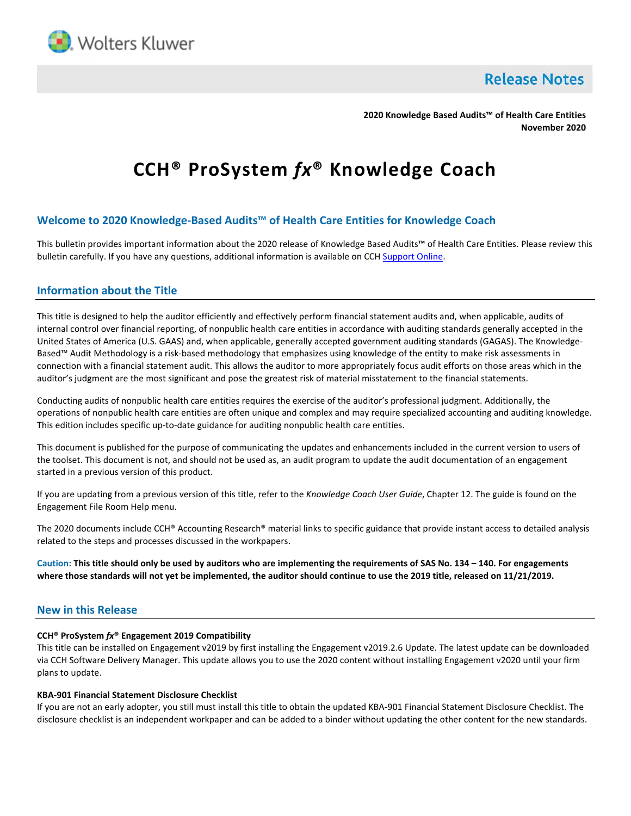

**Release Notes** 

**2020 Knowledge Based Audits™ of Health Care Entities November 2020**

# **CCH® ProSystem** *fx***® Knowledge Coach**

# **Welcome to 2020 Knowledge-Based Audits™ of Health Care Entities for Knowledge Coach**

This bulletin provides important information about the 2020 release of Knowledge Based Audits™ of Health Care Entities. Please review this bulletin carefully. If you have any questions, additional information is available on CC[H Support Online.](http://support.cch.com/productsupport/)

## **Information about the Title**

This title is designed to help the auditor efficiently and effectively perform financial statement audits and, when applicable, audits of internal control over financial reporting, of nonpublic health care entities in accordance with auditing standards generally accepted in the United States of America (U.S. GAAS) and, when applicable, generally accepted government auditing standards (GAGAS). The Knowledge-Based™ Audit Methodology is a risk-based methodology that emphasizes using knowledge of the entity to make risk assessments in connection with a financial statement audit. This allows the auditor to more appropriately focus audit efforts on those areas which in the auditor's judgment are the most significant and pose the greatest risk of material misstatement to the financial statements.

Conducting audits of nonpublic health care entities requires the exercise of the auditor's professional judgment. Additionally, the operations of nonpublic health care entities are often unique and complex and may require specialized accounting and auditing knowledge. This edition includes specific up-to-date guidance for auditing nonpublic health care entities.

This document is published for the purpose of communicating the updates and enhancements included in the current version to users of the toolset. This document is not, and should not be used as, an audit program to update the audit documentation of an engagement started in a previous version of this product.

If you are updating from a previous version of this title, refer to the *Knowledge Coach User Guide*, Chapter 12. The guide is found on the Engagement File Room Help menu.

The 2020 documents include CCH® Accounting Research® material links to specific guidance that provide instant access to detailed analysis related to the steps and processes discussed in the workpapers.

**Caution: This title should only be used by auditors who are implementing the requirements of SAS No. 134 – 140. For engagements where those standards will not yet be implemented, the auditor should continue to use the 2019 title, released on 11/21/2019.**

## **New in this Release**

#### **CCH® ProSystem** *fx***® Engagement 2019 Compatibility**

This title can be installed on Engagement v2019 by first installing the Engagement v2019.2.6 Update. The latest update can be downloaded via CCH Software Delivery Manager. This update allows you to use the 2020 content without installing Engagement v2020 until your firm plans to update.

#### **KBA-901 Financial Statement Disclosure Checklist**

If you are not an early adopter, you still must install this title to obtain the updated KBA-901 Financial Statement Disclosure Checklist. The disclosure checklist is an independent workpaper and can be added to a binder without updating the other content for the new standards.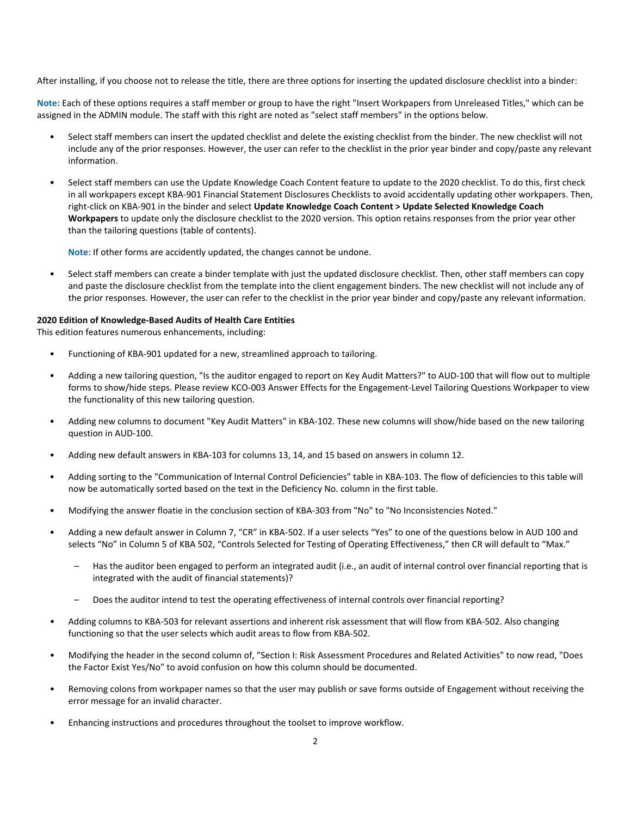After installing, if you choose not to release the title, there are three options for inserting the updated disclosure checklist into a binder:

**Note:** Each of these options requires a staff member or group to have the right "Insert Workpapers from Unreleased Titles," which can be assigned in the ADMIN module. The staff with this right are noted as "select staff members" in the options below.

- Select staff members can insert the updated checklist and delete the existing checklist from the binder. The new checklist will not include any of the prior responses. However, the user can refer to the checklist in the prior year binder and copy/paste any relevant information.
- Select staff members can use the Update Knowledge Coach Content feature to update to the 2020 checklist. To do this, first check in all workpapers except KBA-901 Financial Statement Disclosures Checklists to avoid accidentally updating other workpapers. Then, right-click on KBA-901 in the binder and select **Update Knowledge Coach Content > Update Selected Knowledge Coach Workpapers** to update only the disclosure checklist to the 2020 version. This option retains responses from the prior year other than the tailoring questions (table of contents).

**Note**: If other forms are accidently updated, the changes cannot be undone.

• Select staff members can create a binder template with just the updated disclosure checklist. Then, other staff members can copy and paste the disclosure checklist from the template into the client engagement binders. The new checklist will not include any of the prior responses. However, the user can refer to the checklist in the prior year binder and copy/paste any relevant information.

#### **2020 Edition of Knowledge-Based Audits of Health Care Entities**

This edition features numerous enhancements, including:

- Functioning of KBA-901 updated for a new, streamlined approach to tailoring.
- Adding a new tailoring question, "Is the auditor engaged to report on Key Audit Matters?" to AUD-100 that will flow out to multiple forms to show/hide steps. Please review KCO-003 Answer Effects for the Engagement-Level Tailoring Questions Workpaper to view the functionality of this new tailoring question.
- Adding new columns to document "Key Audit Matters" in KBA-102. These new columns will show/hide based on the new tailoring question in AUD-100.
- Adding new default answers in KBA-103 for columns 13, 14, and 15 based on answers in column 12.
- Adding sorting to the "Communication of Internal Control Deficiencies" table in KBA-103. The flow of deficiencies to this table will now be automatically sorted based on the text in the Deficiency No. column in the first table.
- Modifying the answer floatie in the conclusion section of KBA-303 from "No" to "No Inconsistencies Noted."
- Adding a new default answer in Column 7, "CR" in KBA-502. If a user selects "Yes" to one of the questions below in AUD 100 and selects "No" in Column 5 of KBA 502, "Controls Selected for Testing of Operating Effectiveness," then CR will default to "Max."
	- Has the auditor been engaged to perform an integrated audit (i.e., an audit of internal control over financial reporting that is integrated with the audit of financial statements)?
	- Does the auditor intend to test the operating effectiveness of internal controls over financial reporting?
- Adding columns to KBA-503 for relevant assertions and inherent risk assessment that will flow from KBA-502. Also changing functioning so that the user selects which audit areas to flow from KBA-502.
- Modifying the header in the second column of, "Section I: Risk Assessment Procedures and Related Activities" to now read, "Does the Factor Exist Yes/No" to avoid confusion on how this column should be documented.
- Removing colons from workpaper names so that the user may publish or save forms outside of Engagement without receiving the error message for an invalid character.
- Enhancing instructions and procedures throughout the toolset to improve workflow.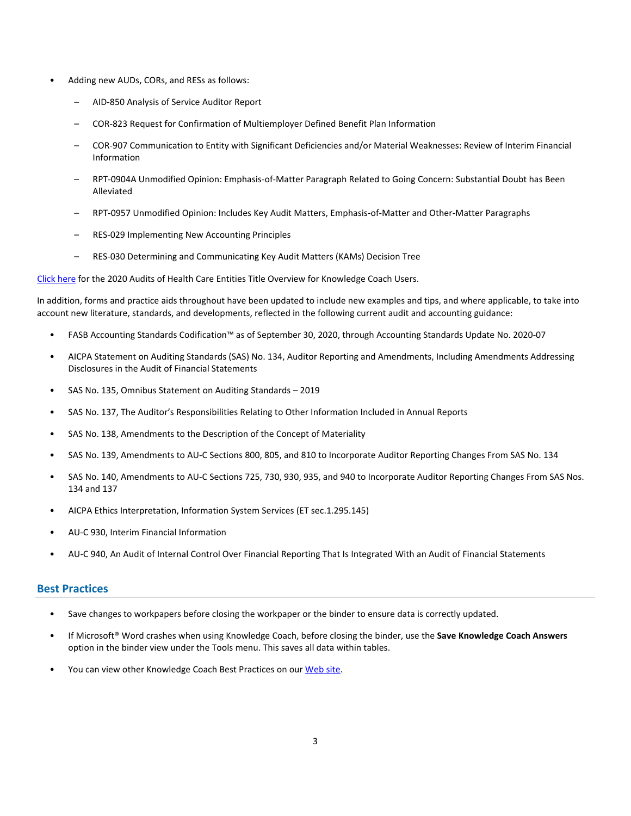- Adding new AUDs, CORs, and RESs as follows:
	- AID-850 Analysis of Service Auditor Report
	- COR-823 Request for Confirmation of Multiemployer Defined Benefit Plan Information
	- COR-907 Communication to Entity with Significant Deficiencies and/or Material Weaknesses: Review of Interim Financial Information
	- RPT-0904A Unmodified Opinion: Emphasis-of-Matter Paragraph Related to Going Concern: Substantial Doubt has Been Alleviated
	- RPT-0957 Unmodified Opinion: Includes Key Audit Matters, Emphasis-of-Matter and Other-Matter Paragraphs
	- RES-029 Implementing New Accounting Principles
	- RES-030 Determining and Communicating Key Audit Matters (KAMs) Decision Tree

[Click here](http://support.cch.com/updates/KnowledgeCoach/pdf/guides_tab/2020%20Health%20Care%20Entities%20Title%20Overview%20for%20Knowledge%20Coach%20Users.pdf) for the 2020 Audits of Health Care Entities Title Overview for Knowledge Coach Users.

In addition, forms and practice aids throughout have been updated to include new examples and tips, and where applicable, to take into account new literature, standards, and developments, reflected in the following current audit and accounting guidance:

- FASB Accounting Standards Codification™ as of September 30, 2020, through Accounting Standards Update No. 2020-07
- AICPA Statement on Auditing Standards (SAS) No. 134, Auditor Reporting and Amendments, Including Amendments Addressing Disclosures in the Audit of Financial Statements
- SAS No. 135, Omnibus Statement on Auditing Standards 2019
- SAS No. 137, The Auditor's Responsibilities Relating to Other Information Included in Annual Reports
- SAS No. 138, Amendments to the Description of the Concept of Materiality
- SAS No. 139, Amendments to AU-C Sections 800, 805, and 810 to Incorporate Auditor Reporting Changes From SAS No. 134
- SAS No. 140, Amendments to AU-C Sections 725, 730, 930, 935, and 940 to Incorporate Auditor Reporting Changes From SAS Nos. 134 and 137
- AICPA Ethics Interpretation, Information System Services (ET sec.1.295.145)
- AU-C 930, Interim Financial Information
- AU-C 940, An Audit of Internal Control Over Financial Reporting That Is Integrated With an Audit of Financial Statements

### **Best Practices**

- Save changes to workpapers before closing the workpaper or the binder to ensure data is correctly updated.
- If Microsoft® Word crashes when using Knowledge Coach, before closing the binder, use the **Save Knowledge Coach Answers** option in the binder view under the Tools menu. This saves all data within tables.
- You can view other Knowledge Coach Best Practices on ou[r Web](https://support.cch.com/kb/solution/000034942/sw34947) site.